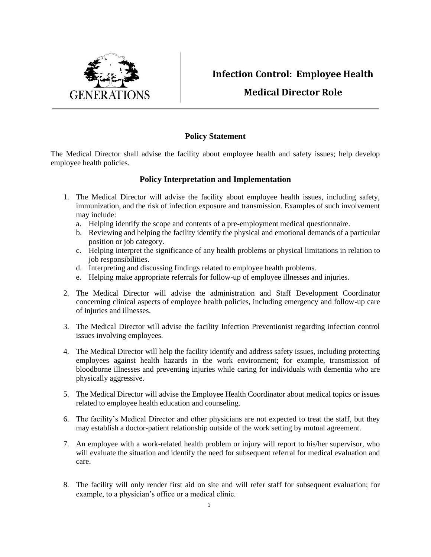

## **Infection Control: Employee Health**

## **Medical Director Role**

## **Policy Statement**

The Medical Director shall advise the facility about employee health and safety issues; help develop employee health policies.

## **Policy Interpretation and Implementation**

- 1. The Medical Director will advise the facility about employee health issues, including safety, immunization, and the risk of infection exposure and transmission. Examples of such involvement may include:
	- a. Helping identify the scope and contents of a pre-employment medical questionnaire.
	- b. Reviewing and helping the facility identify the physical and emotional demands of a particular position or job category.
	- c. Helping interpret the significance of any health problems or physical limitations in relation to job responsibilities.
	- d. Interpreting and discussing findings related to employee health problems.
	- e. Helping make appropriate referrals for follow-up of employee illnesses and injuries.
- 2. The Medical Director will advise the administration and Staff Development Coordinator concerning clinical aspects of employee health policies, including emergency and follow-up care of injuries and illnesses.
- 3. The Medical Director will advise the facility Infection Preventionist regarding infection control issues involving employees.
- 4. The Medical Director will help the facility identify and address safety issues, including protecting employees against health hazards in the work environment; for example, transmission of bloodborne illnesses and preventing injuries while caring for individuals with dementia who are physically aggressive.
- 5. The Medical Director will advise the Employee Health Coordinator about medical topics or issues related to employee health education and counseling.
- 6. The facility's Medical Director and other physicians are not expected to treat the staff, but they may establish a doctor-patient relationship outside of the work setting by mutual agreement.
- 7. An employee with a work-related health problem or injury will report to his/her supervisor, who will evaluate the situation and identify the need for subsequent referral for medical evaluation and care.
- 8. The facility will only render first aid on site and will refer staff for subsequent evaluation; for example, to a physician's office or a medical clinic.